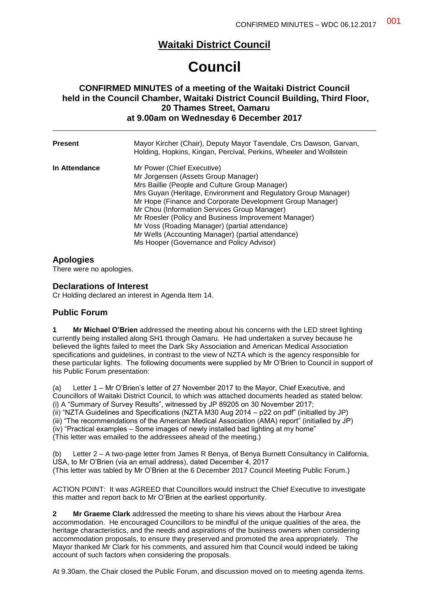# **Waitaki District Council**

# **Council**

## **CONFIRMED MINUTES of a meeting of the Waitaki District Council held in the Council Chamber, Waitaki District Council Building, Third Floor, 20 Thames Street, Oamaru at 9.00am on Wednesday 6 December 2017**

| <b>Present</b> | Mayor Kircher (Chair), Deputy Mayor Tavendale, Crs Dawson, Garvan,<br>Holding, Hopkins, Kingan, Percival, Perkins, Wheeler and Wollstein                                                                                                                                                                                                                                                                                                                                                                        |
|----------------|-----------------------------------------------------------------------------------------------------------------------------------------------------------------------------------------------------------------------------------------------------------------------------------------------------------------------------------------------------------------------------------------------------------------------------------------------------------------------------------------------------------------|
| In Attendance  | Mr Power (Chief Executive)<br>Mr Jorgensen (Assets Group Manager)<br>Mrs Baillie (People and Culture Group Manager)<br>Mrs Guyan (Heritage, Environment and Regulatory Group Manager)<br>Mr Hope (Finance and Corporate Development Group Manager)<br>Mr Chou (Information Services Group Manager)<br>Mr Roesler (Policy and Business Improvement Manager)<br>Mr Voss (Roading Manager) (partial attendance)<br>Mr Wells (Accounting Manager) (partial attendance)<br>Ms Hooper (Governance and Policy Advisor) |

# **Apologies**

There were no apologies.

## **Declarations of Interest**

Cr Holding declared an interest in Agenda Item 14.

## **Public Forum**

**1 Mr Michael O'Brien** addressed the meeting about his concerns with the LED street lighting currently being installed along SH1 through Oamaru. He had undertaken a survey because he believed the lights failed to meet the Dark Sky Association and American Medical Association specifications and guidelines, in contrast to the view of NZTA which is the agency responsible for these particular lights. The following documents were supplied by Mr O'Brien to Council in support of his Public Forum presentation:

(a) Letter 1 – Mr O'Brien's letter of 27 November 2017 to the Mayor, Chief Executive, and Councillors of Waitaki District Council, to which was attached documents headed as stated below: (i) A "Summary of Survey Results", witnessed by JP 89205 on 30 November 2017; (ii) "NZTA Guidelines and Specifications (NZTA M30 Aug 2014 – p22 on pdf" (initialled by JP) (iii) "The recommendations of the American Medical Association (AMA) report" (initialled by JP)  $(iv)$  "Practical examples – Some images of newly installed bad lighting at my home" (This letter was emailed to the addressees ahead of the meeting.)

(b) Letter 2 – A two-page letter from James R Benya, of Benya Burnett Consultancy in California, USA, to Mr O'Brien (via an email address), dated December 4, 2017 (This letter was tabled by Mr O'Brien at the 6 December 2017 Council Meeting Public Forum.)

ACTION POINT: It was AGREED that Councillors would instruct the Chief Executive to investigate this matter and report back to Mr O'Brien at the earliest opportunity.

**2 Mr Graeme Clark** addressed the meeting to share his views about the Harbour Area accommodation. He encouraged Councillors to be mindful of the unique qualities of the area, the heritage characteristics, and the needs and aspirations of the business owners when considering accommodation proposals, to ensure they preserved and promoted the area appropriately. The Mayor thanked Mr Clark for his comments, and assured him that Council would indeed be taking account of such factors when considering the proposals.

At 9.30am, the Chair closed the Public Forum, and discussion moved on to meeting agenda items.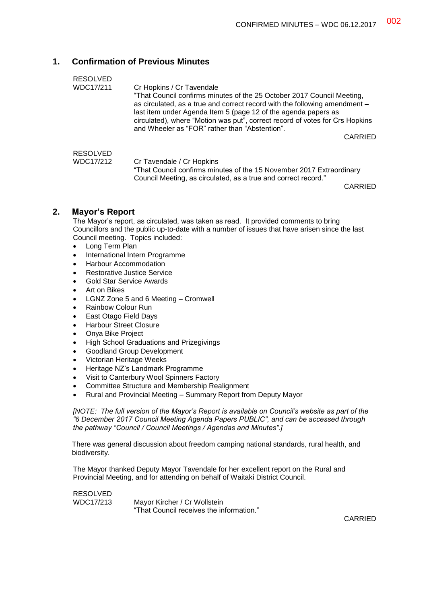## **1. Confirmation of Previous Minutes**

| <b>RESOLVED</b><br>WDC17/211 | Cr Hopkins / Cr Tavendale<br>"That Council confirms minutes of the 25 October 2017 Council Meeting,<br>as circulated, as a true and correct record with the following amendment -<br>last item under Agenda Item 5 (page 12 of the agenda papers as<br>circulated), where "Motion was put", correct record of votes for Crs Hopkins<br>and Wheeler as "FOR" rather than "Abstention".<br>CARRIED |  |
|------------------------------|--------------------------------------------------------------------------------------------------------------------------------------------------------------------------------------------------------------------------------------------------------------------------------------------------------------------------------------------------------------------------------------------------|--|
| <b>RESOLVED</b><br>WDC17/212 | Cr Tavendale / Cr Hopkins<br>"That Council confirms minutes of the 15 November 2017 Extraordinary<br>Council Meeting, as circulated, as a true and correct record."<br><b>CADDIEN</b>                                                                                                                                                                                                            |  |

CARRIED

## **2. Mayor's Report**

The Mayor's report, as circulated, was taken as read. It provided comments to bring Councillors and the public up-to-date with a number of issues that have arisen since the last Council meeting. Topics included:

- Long Term Plan
- International Intern Programme
- Harbour Accommodation
- Restorative Justice Service
- Gold Star Service Awards
- Art on Bikes
- LGNZ Zone 5 and 6 Meeting Cromwell
- Rainbow Colour Run
- East Otago Field Days
- Harbour Street Closure
- Onya Bike Project
- High School Graduations and Prizegivings
- Goodland Group Development
- Victorian Heritage Weeks
- Heritage NZ's Landmark Programme
- Visit to Canterbury Wool Spinners Factory
- Committee Structure and Membership Realignment
- Rural and Provincial Meeting Summary Report from Deputy Mayor

*[NOTE: The full version of the Mayor's Report is available on Council's website as part of the "6 December 2017 Council Meeting Agenda Papers PUBLIC", and can be accessed through the pathway "Council / Council Meetings / Agendas and Minutes".]*

There was general discussion about freedom camping national standards, rural health, and biodiversity.

The Mayor thanked Deputy Mayor Tavendale for her excellent report on the Rural and Provincial Meeting, and for attending on behalf of Waitaki District Council.

RESOLVED WDC17/213 Mayor Kircher / Cr Wollstein "That Council receives the information."

CARRIED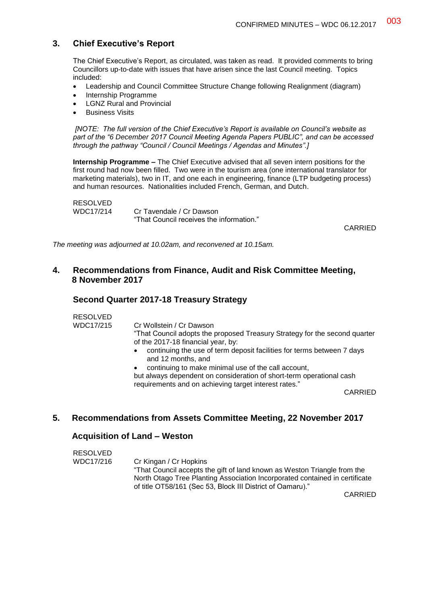## **3. Chief Executive's Report**

The Chief Executive's Report, as circulated, was taken as read. It provided comments to bring Councillors up-to-date with issues that have arisen since the last Council meeting. Topics included:

- Leadership and Council Committee Structure Change following Realignment (diagram)
- Internship Programme
- LGNZ Rural and Provincial
- Business Visits

*[NOTE: The full version of the Chief Executive's Report is available on Council's website as part of the "6 December 2017 Council Meeting Agenda Papers PUBLIC", and can be accessed through the pathway "Council / Council Meetings / Agendas and Minutes".]*

**Internship Programme –** The Chief Executive advised that all seven intern positions for the first round had now been filled. Two were in the tourism area (one international translator for marketing materials), two in IT, and one each in engineering, finance (LTP budgeting process) and human resources. Nationalities included French, German, and Dutch.

```
RESOLVED
WDC17/214 Cr Tavendale / Cr Dawson
                "That Council receives the information."
```
CARRIED

*The meeting was adjourned at 10.02am, and reconvened at 10.15am.*

## **4. Recommendations from Finance, Audit and Risk Committee Meeting, 8 November 2017**

#### **Second Quarter 2017-18 Treasury Strategy**

RESOLVED

WDC17/215 Cr Wollstein / Cr Dawson

"That Council adopts the proposed Treasury Strategy for the second quarter of the 2017-18 financial year, by:

 continuing the use of term deposit facilities for terms between 7 days and 12 months, and

continuing to make minimal use of the call account,

but always dependent on consideration of short-term operational cash requirements and on achieving target interest rates."

CARRIED

## **5. Recommendations from Assets Committee Meeting, 22 November 2017**

#### **Acquisition of Land – Weston**

| RESOLVED  |                                                                             |
|-----------|-----------------------------------------------------------------------------|
| WDC17/216 | Cr Kingan / Cr Hopkins                                                      |
|           | "That Council accepts the gift of land known as Weston Triangle from the    |
|           | North Otago Tree Planting Association Incorporated contained in certificate |
|           | of title OT58/161 (Sec 53, Block III District of Oamaru)."                  |

CARRIED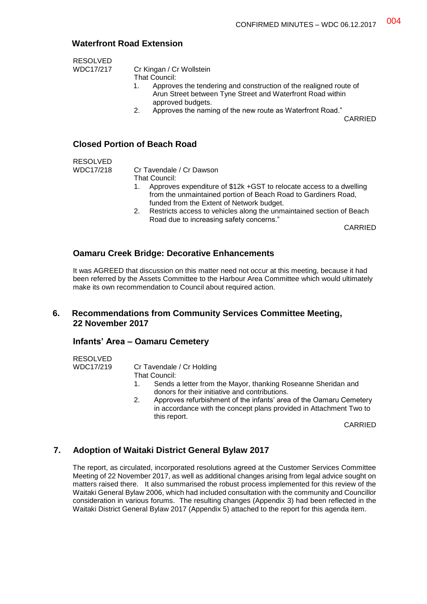# **Waterfront Road Extension**

RESOLVED

WDC17/217 Cr Kingan / Cr Wollstein

That Council:

- 1. Approves the tendering and construction of the realigned route of Arun Street between Tyne Street and Waterfront Road within approved budgets.
- 2. Approves the naming of the new route as Waterfront Road."

CARRIED

## **Closed Portion of Beach Road**

RESOLVED

WDC17/218 Cr Tavendale / Cr Dawson

- That Council:
- 1. Approves expenditure of \$12k +GST to relocate access to a dwelling from the unmaintained portion of Beach Road to Gardiners Road, funded from the Extent of Network budget.
- 2. Restricts access to vehicles along the unmaintained section of Beach Road due to increasing safety concerns."

CARRIED

#### **Oamaru Creek Bridge: Decorative Enhancements**

It was AGREED that discussion on this matter need not occur at this meeting, because it had been referred by the Assets Committee to the Harbour Area Committee which would ultimately make its own recommendation to Council about required action.

## **6. Recommendations from Community Services Committee Meeting, 22 November 2017**

#### **Infants' Area – Oamaru Cemetery**

RESOLVED<br>WDC17/219

Cr Tavendale / Cr Holding

- That Council:
	- 1. Sends a letter from the Mayor, thanking Roseanne Sheridan and donors for their initiative and contributions.
	- 2. Approves refurbishment of the infants' area of the Oamaru Cemetery in accordance with the concept plans provided in Attachment Two to this report.

CARRIED

## **7. Adoption of Waitaki District General Bylaw 2017**

The report, as circulated, incorporated resolutions agreed at the Customer Services Committee Meeting of 22 November 2017, as well as additional changes arising from legal advice sought on matters raised there. It also summarised the robust process implemented for this review of the Waitaki General Bylaw 2006, which had included consultation with the community and Councillor consideration in various forums. The resulting changes (Appendix 3) had been reflected in the Waitaki District General Bylaw 2017 (Appendix 5) attached to the report for this agenda item.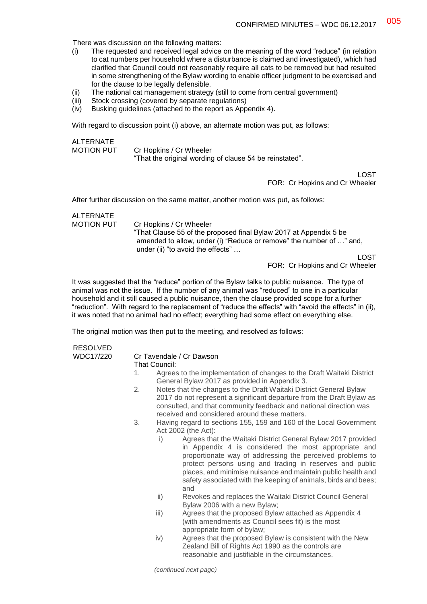There was discussion on the following matters:

- (i) The requested and received legal advice on the meaning of the word "reduce" (in relation to cat numbers per household where a disturbance is claimed and investigated), which had clarified that Council could not reasonably require all cats to be removed but had resulted in some strengthening of the Bylaw wording to enable officer judgment to be exercised and for the clause to be legally defensible.
- (ii) The national cat management strategy (still to come from central government)
- (iii) Stock crossing (covered by separate regulations)
- (iv) Busking guidelines (attached to the report as Appendix 4).

With regard to discussion point (i) above, an alternate motion was put, as follows:

**ALTERNATE** MOTION PUT Cr Hopkins / Cr Wheeler "That the original wording of clause 54 be reinstated".

> LOST FOR: Cr Hopkins and Cr Wheeler

After further discussion on the same matter, another motion was put, as follows:

# ALTERNATE<br>MOTION PUT

Cr Hopkins / Cr Wheeler "That Clause 55 of the proposed final Bylaw 2017 at Appendix 5 be amended to allow, under (i) "Reduce or remove" the number of …" and, under (ii) "to avoid the effects" …

LOST

FOR: Cr Hopkins and Cr Wheeler

It was suggested that the "reduce" portion of the Bylaw talks to public nuisance. The type of animal was not the issue. If the number of any animal was "reduced" to one in a particular household and it still caused a public nuisance, then the clause provided scope for a further "reduction". With regard to the replacement of "reduce the effects" with "avoid the effects" in (ii), it was noted that no animal had no effect; everything had some effect on everything else.

The original motion was then put to the meeting, and resolved as follows:

# RESOLVED

#### WDC17/220 Cr Tavendale / Cr Dawson

#### That Council:

- 1. Agrees to the implementation of changes to the Draft Waitaki District General Bylaw 2017 as provided in Appendix 3.
- 2. Notes that the changes to the Draft Waitaki District General Bylaw 2017 do not represent a significant departure from the Draft Bylaw as consulted, and that community feedback and national direction was received and considered around these matters.
- 3. Having regard to sections 155, 159 and 160 of the Local Government Act 2002 (the Act):
	- i) Agrees that the Waitaki District General Bylaw 2017 provided in Appendix 4 is considered the most appropriate and proportionate way of addressing the perceived problems to protect persons using and trading in reserves and public places, and minimise nuisance and maintain public health and safety associated with the keeping of animals, birds and bees; and
	- ii) Revokes and replaces the Waitaki District Council General Bylaw 2006 with a new Bylaw;
	- iii) Agrees that the proposed Bylaw attached as Appendix 4 (with amendments as Council sees fit) is the most appropriate form of bylaw;
	- iv) Agrees that the proposed Bylaw is consistent with the New Zealand Bill of Rights Act 1990 as the controls are reasonable and justifiable in the circumstances.

*(continued next page)*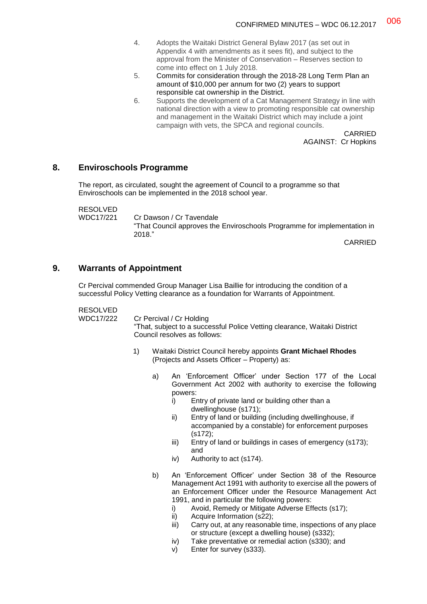- 4. Adopts the Waitaki District General Bylaw 2017 (as set out in Appendix 4 with amendments as it sees fit), and subject to the approval from the Minister of Conservation – Reserves section to come into effect on 1 July 2018.
- 5. Commits for consideration through the 2018-28 Long Term Plan an amount of \$10,000 per annum for two (2) years to support responsible cat ownership in the District.
- 6. Supports the development of a Cat Management Strategy in line with national direction with a view to promoting responsible cat ownership and management in the Waitaki District which may include a joint campaign with vets, the SPCA and regional councils.

CARRIED AGAINST: Cr Hopkins

#### **8. Enviroschools Programme**

The report, as circulated, sought the agreement of Council to a programme so that Enviroschools can be implemented in the 2018 school year.

RESOLVED

WDC17/221 Cr Dawson / Cr Tavendale "That Council approves the Enviroschools Programme for implementation in 2018."

CARRIED

#### **9. Warrants of Appointment**

Cr Percival commended Group Manager Lisa Baillie for introducing the condition of a successful Policy Vetting clearance as a foundation for Warrants of Appointment.

#### RESOLVED

WDC17/222 Cr Percival / Cr Holding

"That, subject to a successful Police Vetting clearance, Waitaki District Council resolves as follows:

- 1) Waitaki District Council hereby appoints **Grant Michael Rhodes** (Projects and Assets Officer – Property) as:
	- a) An 'Enforcement Officer' under Section 177 of the Local Government Act 2002 with authority to exercise the following powers:
		- i) Entry of private land or building other than a dwellinghouse (s171);
		- ii) Entry of land or building (including dwellinghouse, if accompanied by a constable) for enforcement purposes (s172);
		- iii) Entry of land or buildings in cases of emergency (s173); and
		- iv) Authority to act (s174).
	- b) An 'Enforcement Officer' under Section 38 of the Resource Management Act 1991 with authority to exercise all the powers of an Enforcement Officer under the Resource Management Act 1991, and in particular the following powers:
		- i) Avoid, Remedy or Mitigate Adverse Effects (s17);
		- ii) Acquire Information (s22);
		- iii) Carry out, at any reasonable time, inspections of any place or structure (except a dwelling house) (s332);
		- iv) Take preventative or remedial action (s330); and
		- v) Enter for survey (s333).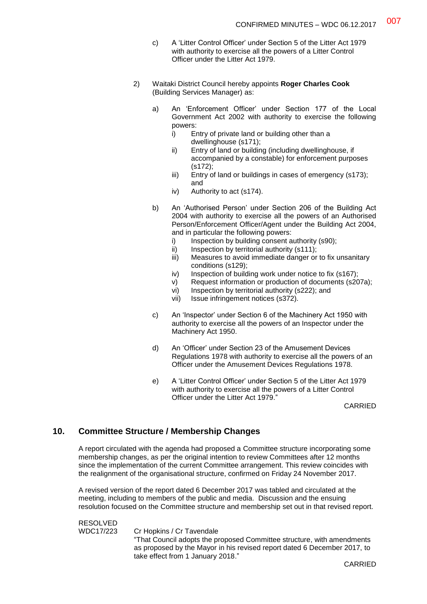- c) A 'Litter Control Officer' under Section 5 of the Litter Act 1979 with authority to exercise all the powers of a Litter Control Officer under the Litter Act 1979.
- 2) Waitaki District Council hereby appoints **Roger Charles Cook** (Building Services Manager) as:
	- a) An 'Enforcement Officer' under Section 177 of the Local Government Act 2002 with authority to exercise the following powers:
		- i) Entry of private land or building other than a dwellinghouse (s171);
		- ii) Entry of land or building (including dwellinghouse, if accompanied by a constable) for enforcement purposes (s172);
		- iii) Entry of land or buildings in cases of emergency (s173); and
		- iv) Authority to act (s174).
	- b) An 'Authorised Person' under Section 206 of the Building Act 2004 with authority to exercise all the powers of an Authorised Person/Enforcement Officer/Agent under the Building Act 2004, and in particular the following powers:
		- i) Inspection by building consent authority (s90);
		- ii) Inspection by territorial authority  $(s111)$ ;
		- iii) Measures to avoid immediate danger or to fix unsanitary conditions (s129);
		- iv) Inspection of building work under notice to fix (s167);
		- v) Request information or production of documents (s207a);
		- vi) Inspection by territorial authority (s222); and
		- vii) Issue infringement notices (s372).
	- c) An 'Inspector' under Section 6 of the Machinery Act 1950 with authority to exercise all the powers of an Inspector under the Machinery Act 1950.
	- d) An 'Officer' under Section 23 of the Amusement Devices Regulations 1978 with authority to exercise all the powers of an Officer under the Amusement Devices Regulations 1978.
	- e) A 'Litter Control Officer' under Section 5 of the Litter Act 1979 with authority to exercise all the powers of a Litter Control Officer under the Litter Act 1979."

CARRIED

# **10. Committee Structure / Membership Changes**

A report circulated with the agenda had proposed a Committee structure incorporating some membership changes, as per the original intention to review Committees after 12 months since the implementation of the current Committee arrangement. This review coincides with the realignment of the organisational structure, confirmed on Friday 24 November 2017.

A revised version of the report dated 6 December 2017 was tabled and circulated at the meeting, including to members of the public and media. Discussion and the ensuing resolution focused on the Committee structure and membership set out in that revised report.

#### RESOLVED

WDC17/223 Cr Hopkins / Cr Tavendale "That Council adopts the proposed Committee structure, with amendments as proposed by the Mayor in his revised report dated 6 December 2017, to take effect from 1 January 2018."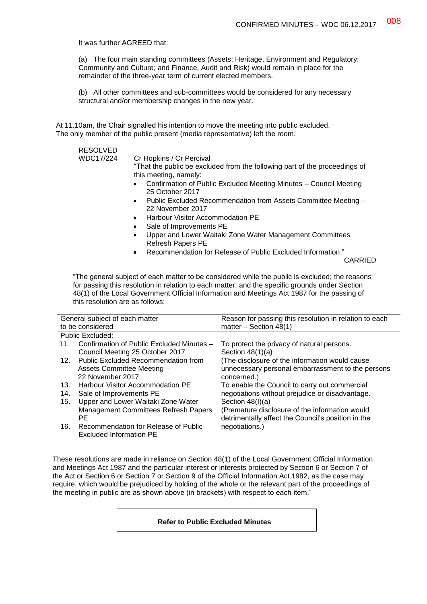It was further AGREED that:

(a) The four main standing committees (Assets; Heritage, Environment and Regulatory; Community and Culture; and Finance, Audit and Risk) would remain in place for the remainder of the three-year term of current elected members.

(b) All other committees and sub-committees would be considered for any necessary structural and/or membership changes in the new year.

At 11.10am, the Chair signalled his intention to move the meeting into public excluded. The only member of the public present (media representative) left the room.

#### RESOLVED

WDC17/224 Cr Hopkins / Cr Percival

"That the public be excluded from the following part of the proceedings of this meeting, namely:

- Confirmation of Public Excluded Meeting Minutes Council Meeting 25 October 2017
- Public Excluded Recommendation from Assets Committee Meeting 22 November 2017
- Harbour Visitor Accommodation PE
- Sale of Improvements PE
- Upper and Lower Waitaki Zone Water Management Committees Refresh Papers PE
- Recommendation for Release of Public Excluded Information."

CARRIED

"The general subject of each matter to be considered while the public is excluded; the reasons for passing this resolution in relation to each matter, and the specific grounds under Section 48(1) of the Local Government Official Information and Meetings Act 1987 for the passing of this resolution are as follows:

| General subject of each matter |                                           | Reason for passing this resolution in relation to each |  |
|--------------------------------|-------------------------------------------|--------------------------------------------------------|--|
|                                | to be considered                          | matter $-$ Section 48(1)                               |  |
| Public Excluded:               |                                           |                                                        |  |
| 11.                            | Confirmation of Public Excluded Minutes - | To protect the privacy of natural persons.             |  |
|                                | Council Meeting 25 October 2017           | Section $48(1)(a)$                                     |  |
| 12 <sup>1</sup>                | Public Excluded Recommendation from       | (The disclosure of the information would cause         |  |
|                                | Assets Committee Meeting -                | unnecessary personal embarrassment to the persons      |  |
|                                | 22 November 2017                          | concerned.)                                            |  |
| 13.                            | <b>Harbour Visitor Accommodation PE</b>   | To enable the Council to carry out commercial          |  |
| 14.                            | Sale of Improvements PE                   | negotiations without prejudice or disadvantage.        |  |
| 15.                            | Upper and Lower Waitaki Zone Water        | Section $48(l)(a)$                                     |  |
|                                | Management Committees Refresh Papers      | (Premature disclosure of the information would         |  |
|                                | PE.                                       | detrimentally affect the Council's position in the     |  |
| 16.                            | Recommendation for Release of Public      | negotiations.)                                         |  |
|                                | <b>Excluded Information PE</b>            |                                                        |  |

These resolutions are made in reliance on Section 48(1) of the Local Government Official Information and Meetings Act 1987 and the particular interest or interests protected by Section 6 or Section 7 of the Act or Section 6 or Section 7 or Section 9 of the Official Information Act 1982, as the case may require, which would be prejudiced by holding of the whole or the relevant part of the proceedings of the meeting in public are as shown above (in brackets) with respect to each item."

#### **Refer to Public Excluded Minutes**